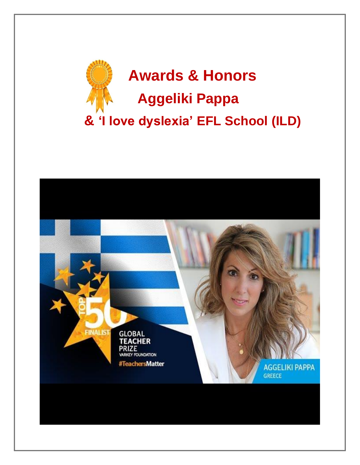

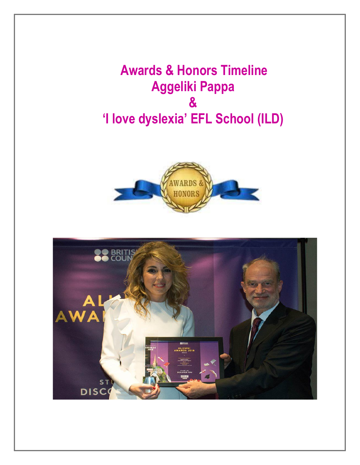**Awards & Honors Timeline Aggeliki Pappa & 'I love dyslexia' EFL School (ILD)** 



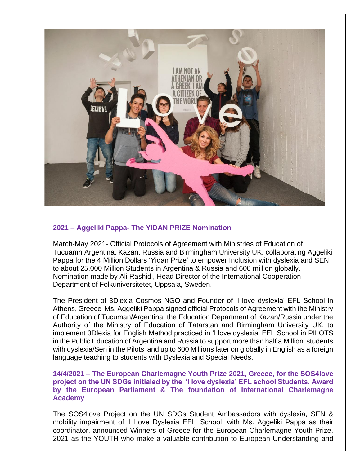

# **2021 – Aggeliki Pappa- The YIDAN PRIZE Nomination**

March-May 2021- Official Protocols of Agreement with Ministries of Education of Tucuamn Argentina, Kazan, Russia and Birmingham University UK, collaborating Aggeliki Pappa for the 4 Million Dollars 'Yidan Prize' to empower Inclusion with dyslexia and SEN to about 25.000 Million Students in Argentina & Russia and 600 million globally. Nomination made by Ali Rashidi, Head Director of the International Cooperation Department of Folkuniversitetet, Uppsala, Sweden.

The President of 3Dlexia Cosmos NGO and Founder of 'I love dyslexia' EFL School in Athens, Greece Ms. Aggeliki Pappa signed official Protocols of Agreement with the Ministry of Education of Tucuman/Argentina, the Education Department of Kazan/Russia under the Authority of the Ministry of Education of Tatarstan and Birmingham University UK, to implement 3Dlexia for English Method practiced in 'I love dyslexia' EFL School in PILOTS in the Public Education of Argentina and Russia to support more than half a Million students with dyslexia/Sen in the Pilots and up to 600 Millions later on globally in English as a foreign language teaching to students with Dyslexia and Special Needs.

# **14/4/2021 – The European Charlemagne Youth Prize 2021, Greece, for the SOS4love project on the UN SDGs initialed by the 'I love dyslexia' EFL school Students. Award by the European Parliament & The foundation of International Charlemagne Academy**

The SOS4love Project on the UN SDGs Student Ambassadors with dyslexia, SEN & mobility impairment of 'I Love Dyslexia EFL' School, with Ms. Aggeliki Pappa as their coordinator, announced Winners of Greece for the European Charlemagne Youth Prize, 2021 as the YOUTH who make a valuable contribution to European Understanding and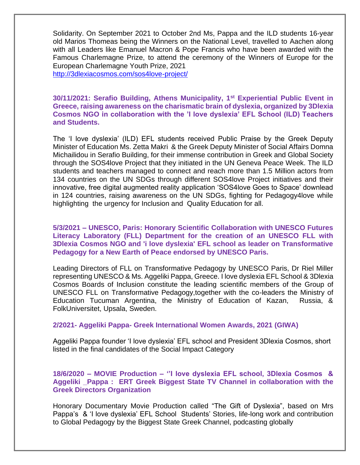Solidarity. On September 2021 to October 2nd Ms, Pappa and the ILD students 16-year old Marios Thomeas being the Winners on the National Level, travelled to Aachen along with all Leaders like Emanuel Macron & Pope Francis who have been awarded with the Famous Charlemagne Prize, to attend the ceremony of the Winners of Europe for the European Charlemagne Youth Prize, 2021

<http://3dlexiacosmos.com/sos4love-project/>

# **30/11/2021: Serafio Building, Athens Municipality, 1st Experiential Public Event in Greece, raising awareness on the charismatic brain of dyslexia, organized by 3Dlexia Cosmos NGO in collaboration with the 'I love dyslexia' EFL School (ILD) Teachers and Students.**

The 'I love dyslexia' (ILD) EFL students received Public Praise by the Greek Deputy Minister of Education Ms. Zetta Makri & the Greek Deputy Minister of Social Affairs Domna Michailidou in Serafio Building, for their immense contribution in Greek and Global Society through the SOS4love Project that they initiated in the UN Geneva Peace Week. The ILD students and teachers managed to connect and reach more than 1.5 Million actors from 134 countries on the UN SDGs through different SOS4love Project initiatives and their innovative, free digital augmented reality application 'SOS4love Goes to Space' downlead in 124 countries, raising awareness on the UN SDGs, fighting for Pedagogy4love while highlighting the urgency for Inclusion and Quality Education for all.

**5/3/2021 – UNESCO, Paris: Honorary Scientific Collaboration with UNESCO Futures Literacy Laboratory (FLL) Department for the creation of an UNESCO FLL with 3Dlexia Cosmos NGO and 'i love dyslexia' EFL school as leader on Transformative Pedagogy for a New Earth of Peace endorsed by UNESCO Paris.**

Leading Directors of FLL on Transformative Pedagogy by UNESCO Paris, Dr Riel Miller representing UNESCO & Ms. Aggeliki Pappa, Greece. I love dyslexia EFL School & 3Dlexia Cosmos Boards of Inclusion constitute the leading scientific members of the Group of UNESCO FLL on Transformative Pedagogy,together with the co-leaders the Ministry of Education Tucuman Argentina, the Ministry of Education of Kazan, Russia, & FolkUniversitet, Upsala, Sweden.

# **2/2021- Aggeliki Pappa- Greek International Women Awards, 2021 (GIWA)**

Aggeliki Pappa founder 'I love dyslexia' EFL school and President 3Dlexia Cosmos, short listed in the final candidates of the Social Impact Category

# **18/6/2020 – MOVIE Production – ''I love dyslexia EFL school, 3Dlexia Cosmos & Aggeliki \_Pappa : ERT Greek Biggest State TV Channel in collaboration with the Greek Directors Organization**

Honorary Documentary Movie Production called "The Gift of Dyslexia", based on Mrs Pappa's & 'I love dyslexia' EFL School Students' Stories, life-long work and contribution to Global Pedagogy by the Biggest State Greek Channel, podcasting globally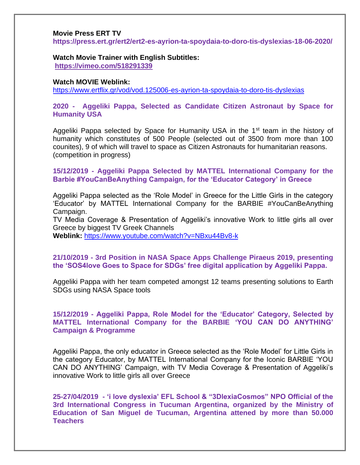#### **Movie Press ERT TV**

**https://press.ert.gr/ert2/ert2-es-ayrion-ta-spoydaia-to-doro-tis-dyslexias-18-06-2020/**

**Watch Movie Trainer with English Subtitles: <https://vimeo.com/518291339>**

#### **Watch MOVIE Weblink:**

<https://www.ertflix.gr/vod/vod.125006-es-ayrion-ta-spoydaia-to-doro-tis-dyslexias>

# **2020 - Aggeliki Pappa, Selected as Candidate Citizen Astronaut by Space for Humanity USA**

Aggeliki Pappa selected by Space for Humanity USA in the 1<sup>st</sup> team in the history of humanity which constitutes of 500 People (selected out of 3500 from more than 100 counites), 9 of which will travel to space as Citizen Astronauts for humanitarian reasons. (competition in progress)

## **15/12/2019 - Aggeliki Pappa Selected by MATTEL International Company for the Barbie #YouCanBeAnything Campaign, for the 'Educator Category' in Greece**

Aggeliki Pappa selected as the 'Role Model' in Greece for the Little Girls in the category 'Educator' by MATTEL International Company for the BARBIE #YouCanBeAnything Campaign.

TV Media Coverage & Presentation of Aggeliki's innovative Work to little girls all over Greece by biggest TV Greek Channels

**Weblink:** <https://www.youtube.com/watch?v=NBxu44Bv8-k>

# **21/10/2019 - 3rd Position in NASA Space Apps Challenge Piraeus 2019, presenting the 'SOS4love Goes to Space for SDGs' free digital application by Aggeliki Pappa.**

Aggeliki Pappa with her team competed amongst 12 teams presenting solutions to Earth SDGs using NASA Space tools

# **15/12/2019 - Aggeliki Pappa, Role Model for the 'Educator' Category, Selected by MATTEL International Company for the BARBIE 'YOU CAN DO ANYTHIΝG' Campaign & Programme**

Aggeliki Pappa, the only educator in Greece selected as the 'Role Model' for Little Girls in the category Educator, by MATTEL International Company for the Iconic BARBIE 'YOU CAN DO ANYTHING' Campaign, with TV Media Coverage & Presentation of Aggeliki's innovative Work to little girls all over Greece

**25-27/04/2019 - 'i love dyslexia' EFL School & "3DlexiaCosmos" NPO Official of the 3rd International Congress in Tucuman Argentina, organized by the Ministry of Education of San Miguel de Tucuman, Argentina attened by more than 50.000 Teachers**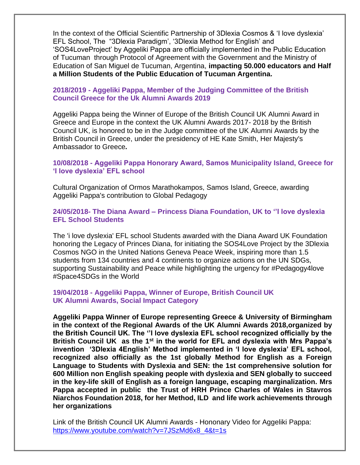In the context of the Official Scientific Partnership of 3Dlexia Cosmos & 'I love dyslexia' EFL School, The "3Dlexia Paradigm', '3Dlexia Method for English' and 'SOS4LoveProject' by Aggeliki Pappa are officially implemented in the Public Education of Tucuman through Protocol of Agreement with the Government and the Ministry of Education of San Miguel de Tucuman, Argentina, **impacting 50.000 educators and Half a Million Students of the Public Education of Tucuman Argentina.**

# **2018/2019 - Aggeliki Pappa, Member of the Judging Committee of the British Council Greece for the Uk Alumni Awards 2019**

Aggeliki Pappa being the Winner of Europe of the British Council UK Alumni Award in Greece and Europe in the context the UK Alumni Awards 2017- 2018 by the British Council UK, is honored to be in the Judge committee of the UK Alumni Awards by the British Council in Greece, under the presidency of HE Kate Smith, Her Majesty's Ambassador to Greece*.*

**10/08/2018 - Aggeliki Pappa Ηonorary Award, Samos Municipality Island, Greece for 'I love dyslexia' EFL school** 

Cultural Organization of Ormos Marathokampos, Samos Island, Greece, awarding Aggeliki Pappa's contribution to Global Pedagogy

**24/05/2018- The Diana Award – Princess Diana Foundation, UK to ''I love dyslexia EFL School Students** 

The 'i love dyslexia' EFL school Students awarded with the Diana Award UK Foundation honoring the Legacy of Princes Diana, for initiating the SOS4Love Project by the 3Dlexia Cosmos NGO in the United Nations Geneva Peace Week, inspiring more than 1.5 students from 134 countries and 4 continents to organize actions on the UN SDGs, supporting Sustainability and Peace while highlighting the urgency for #Pedagogy4love #Space4SDGs in the World

## **19/04/2018 - Aggeliki Pappa, Winner of Europe, British Council UK UK Alumni Awards, Social Impact Category**

**Aggeliki Pappa Winner of Europe representing Greece & University of Birmingham in the context of the Regional Awards of the UK Alumni Awards 2018,organized by the British Council UK. The ''I love dyslexia EFL school recognized officially by the British Council UK as the 1st in the world for EFL and dyslexia with Mrs Pappa's invention '3Dlexia 4English' Method implemented in 'I love dyslexia' EFL school, recognized also officially as the 1st globally Method for English as a Foreign Language to Students with Dyslexia and SEN: the 1st comprehensive solution for 600 Million non English speaking people with dyslexia and SEN globally to succeed in the key-life skill of English as a foreign language, escaping marginalization. Mrs Pappa accepted in public the Trust of HRH Prince Charles of Wales in Stavros Niarchos Foundation 2018, for her Method, ILD and life work achievements through her organizations** 

Link of the British Council UK Alumni Awards - Hononary Video for Aggeliki Pappa: [https://www.youtube.com/watch?v=7JSzMd6x8\\_4&t=1s](https://www.youtube.com/watch?v=7JSzMd6x8_4&t=1s)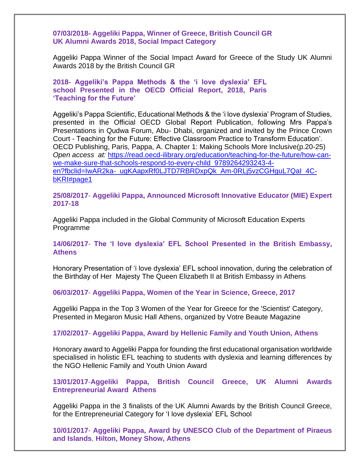#### **07/03/2018- Aggeliki Pappa, Winner of Greece, British Council GR UK Alumni Awards 2018, Social Impact Category**

Aggeliki Pappa Winner of the Social Impact Award for Greece of the Study UK Alumni Awards 2018 by the British Council GR

# **2018- Aggeliki's Pappa Methods & the 'i love dyslexia' EFL school Presented in the OECD Official Report, 2018, Paris 'Teaching for the Future'**

Aggeliki's Pappa Scientific, Educational Methods & the 'i love dyslexia' Program of Studies, presented in the Official OECD Global Report Publication, following Mrs Pappa's Presentations in Qudwa Forum, Abu- Dhabi, organized and invited by the Prince Crown Court - Teaching for the Future: Effective Classroom Practice to Transform Education'. OECD Publishing, Paris, Pappa, A. Chapter 1: Making Schools More Inclusive(p.20-25) *Open access at:* [https://read.oecd-ilibrary.org/education/teaching-for-the-future/how-can](https://read.oecd-ilibrary.org/education/teaching-for-the-future/how-can-we-make-sure-that-schools-respond-to-every-child_9789264293243-4-en?fbclid=IwAR2ka-_ugKAapxRf0LJTD7RBRDxpQk_Am-0RLj5vzCGHguL7QaI_4C-bKRI#page1)[we-make-sure-that-schools-respond-to-every-child\\_9789264293243-4](https://read.oecd-ilibrary.org/education/teaching-for-the-future/how-can-we-make-sure-that-schools-respond-to-every-child_9789264293243-4-en?fbclid=IwAR2ka-_ugKAapxRf0LJTD7RBRDxpQk_Am-0RLj5vzCGHguL7QaI_4C-bKRI#page1) [en?fbclid=IwAR2ka-\\_ugKAapxRf0LJTD7RBRDxpQk\\_Am-0RLj5vzCGHguL7QaI\\_4C](https://read.oecd-ilibrary.org/education/teaching-for-the-future/how-can-we-make-sure-that-schools-respond-to-every-child_9789264293243-4-en?fbclid=IwAR2ka-_ugKAapxRf0LJTD7RBRDxpQk_Am-0RLj5vzCGHguL7QaI_4C-bKRI#page1)[bKRI#page1](https://read.oecd-ilibrary.org/education/teaching-for-the-future/how-can-we-make-sure-that-schools-respond-to-every-child_9789264293243-4-en?fbclid=IwAR2ka-_ugKAapxRf0LJTD7RBRDxpQk_Am-0RLj5vzCGHguL7QaI_4C-bKRI#page1)

**25/08/2017**- **Aggeliki Pappa, Announced Microsoft Innovative Educator (MIE) Expert 2017-18**

Aggeliki Pappa included in the Global Community of Microsoft Education Experts Programme

## **14/06/2017**- **The 'I love dyslexia' EFL School Presented in the British Embassy, Athens**

Honorary Presentation of 'i love dyslexia' EFL school innovation, during the celebration of the Birthday of Her Majesty The Queen Elizabeth II at British Embassy in Athens

#### **06/03/2017**- **Aggeliki Pappa, Women of the Year in Science, Greece, 2017**

Aggeliki Pappa in the Top 3 Women of the Year for Greece for the 'Scientist' Category, Presented in Megaron Music Hall Athens, organized by Votre Beaute Magazine

#### **17/02/2017**- **Aggeliki Pappa, Award by Hellenic Family and Youth Union, Athens**

Honorary award to Aggeliki Pappa for founding the first educational organisation worldwide specialised in holistic EFL teaching to students with dyslexia and learning differences by the NGO Hellenic Family and Youth Union Award

# **13/01/2017**-**Aggeliki Pappa, British Council Greece, UK Alumni Awards Entrepreneurial Award Athens**

Aggeliki Pappa in the 3 finalists of the UK Alumni Awards by the British Council Greece, for the Entrepreneurial Category for 'I love dyslexia' EFL School

# **10/01/2017**- **Aggeliki Pappa, Award by UNESCO Club of the Department of Piraeus and Islands**, **Hilton, Money Show, Athens**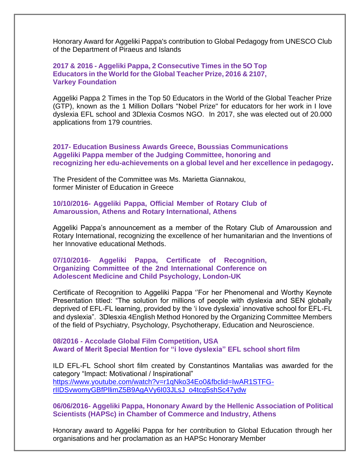Honorary Award for Aggeliki Pappa's contribution to Global Pedagogy from UNESCO Club of the Department of Piraeus and Islands

## **2017 & 2016 - Aggeliki Pappa, 2 Consecutive Times in the 5O Top Educators in the World for the Global Teacher Prize, 2016 & 2107, Varkey Foundation**

Aggeliki Pappa 2 Times in the Top 50 Educators in the World of the Global Teacher Prize (GTP), known as the 1 Million Dollars "Nobel Prize" for educators for her work in I love dyslexia EFL school and 3Dlexia Cosmos NGO. In 2017, she was elected out of 20.000 applications from 179 countries.

**2017- Education Business Awards Greece, Boussias Communications Aggeliki Pappa member of the Judging Committee, honoring and recognizing her edu-achievements on a global level and her excellence in pedagogy.** 

The President of the Committee was Ms. Marietta Giannakou, former Minister of Education in Greece

#### **10/10/2016- Aggeliki Pappa, Official Member of Rotary Club of Amaroussion, Athens and Rotary International, Athens**

Aggeliki Pappa's announcement as a member of the Rotary Club of Amaroussion and Rotary International, recognizing the excellence of her humanitarian and the Inventions of her Innovative educational Methods.

**07/10/2016- Aggeliki Pappa, Certificate of Recognition, Organizing Committee of the 2nd International Conference on Adolescent Medicine and Child Psychology, London-UK**

Certificate of Recognition to Aggeliki Pappa ''For her Phenomenal and Worthy Keynote Presentation titled: "The solution for millions of people with dyslexia and SEN globally deprived of EFL-FL learning, provided by the 'i love dyslexia' innovative school for EFL-FL and dyslexia". 3Dlesxia 4English Method Honored by the Organizing Committee Members of the field of Psychiatry, Psychology, Psychotherapy, Education and Neuroscience.

**08/2016 - Accolade Global Film Competition, USA Award of Merit Special Mention for "i love dyslexia" EFL school short film**

ILD EFL-FL School short film created by Constantinos Mantalias was awarded for the category "Impact: Motivational / Inspirational" [https://www.youtube.com/watch?v=r1qNko34Eo0&fbclid=IwAR1STFG](https://www.youtube.com/watch?v=r1qNko34Eo0&fbclid=IwAR1STFG-rIIDSvwomyGBfPllimZ5B9AgAVy6I03JLsJ_o4tcg5shSc47ydw)[rIIDSvwomyGBfPllimZ5B9AgAVy6I03JLsJ\\_o4tcg5shSc47ydw](https://www.youtube.com/watch?v=r1qNko34Eo0&fbclid=IwAR1STFG-rIIDSvwomyGBfPllimZ5B9AgAVy6I03JLsJ_o4tcg5shSc47ydw)

**06/06/2016- Aggeliki Pappa, Hononary Award by the Hellenic Association of Political Scientists (HAPSc) in Chamber of Commerce and Industry, Athens**

Honorary award to Aggeliki Pappa for her contribution to Global Education through her organisations and her proclamation as an HAPSc Honorary Member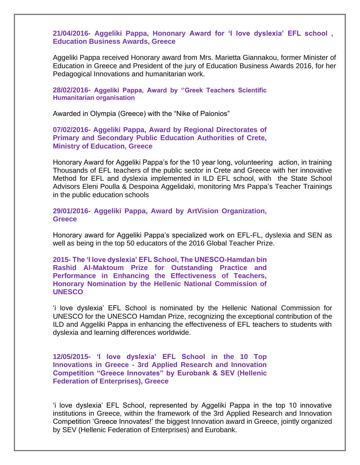**21/04/2016- Aggeliki Pappa, Hononary Award for 'I love dyslexia' EFL school , Education Business Awards, Greece** 

Aggeliki Pappa received Honorary award from Mrs. Marietta Giannakou, former Minister of Education in Greece and President of the jury of Education Business Awards 2016, for her Pedagogical Innovations and humanitarian work.

**28/02/2016- Aggeliki Pappa, Award by ''Greek Teachers Scientific Humanitarian organisation**

Awarded in Olympia (Greece) with the "Nike of Paionios"

**07/02/2016- Aggeliki Pappa, Award by Regional Directorates of Primary and Secondary Public Education Authorities of Crete, Ministry of Education, Greece** 

Honorary Award for Aggeliki Pappa's for the 10 year long, volunteering action, in training Thousands of EFL teachers of the public sector in Crete and Greece with her innovative Method for EFL and dyslexia implemented in ILD EFL school, with the State School Advisors Eleni Poulla & Despoina Aggelidaki, monitoring Mrs Pappa's Teacher Trainings in the public education schools

**29/01/2016- Aggeliki Pappa, Award by ArtVision Organization, Greece**

Honorary award for Aggeliki Pappa's specialized work on EFL-FL, dyslexia and SEN as well as being in the top 50 educators of the 2016 Global Teacher Prize.

**2015- The 'I love dyslexia' EFL School, The UNESCO-Hamdan bin Rashid Al-Maktoum Prize for Outstanding Practice and Performance in Enhancing the Effectiveness of Teachers, Honorary Nomination by the Hellenic National Commission of UNESCO** 

'i love dyslexia' EFL School is nominated by the Hellenic National Commission for UNESCO for the UNESCO Hamdan Prize, recognizing the exceptional contribution of the ILD and Aggeliki Pappa in enhancing the effectiveness of EFL teachers to students with dyslexia and learning differences worldwide.

**12/05/2015- 'I love dyslexia' EFL School in the 10 Top Innovations in Greece - 3rd Applied Research and Innovation Competition "Greece Innovates" by Eurobank & SEV (Hellenic Federation of Enterprises), Greece** 

'i love dyslexia' EFL School, represented by Aggeliki Pappa in the top 10 innovative institutions in Greece, within the framework of the 3rd Applied Research and Innovation Competition 'Greece Innovates!' the biggest Innovation award in Greece, jointly organized by SEV (Hellenic Federation of Enterprises) and Eurobank.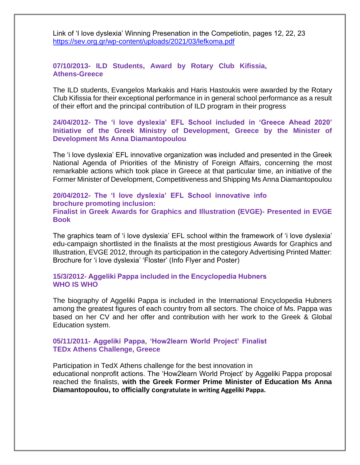Link of 'I love dyslexia' Winning Presenation in the Competiotin, pages 12, 22, 23 <https://sev.org.gr/wp-content/uploads/2021/03/lefkoma.pdf>

## **07/10/2013- ILD Students, Award by Rotary Club Kifissia, Athens-Greece**

The ILD students, Evangelos Markakis and Haris Hastoukis were awarded by the Rotary Club Kifissia for their exceptional performance in in general school performance as a result of their effort and the principal contribution of ILD program in their progress

**24/04/2012- The 'i love dyslexia' EFL School included in 'Greece Ahead 2020' Initiative of the Greek Ministry of Development, Greece by the Minister of Development Ms Anna Diamantopoulou** 

The 'i love dyslexia' EFL innovative organization was included and presented in the Greek National Agenda of Priorities of the Ministry of Foreign Affairs, concerning the most remarkable actions which took place in Greece at that particular time, an initiative of the Former Minister of Development, Competitiveness and Shipping Ms Anna Diamantopoulou

## **20/04/2012- The 'I love dyslexia' EFL School innovative info brochure promoting inclusion: Finalist in Greek Awards for Graphics and Illustration (EVGE)- Presented in EVGE Book**

The graphics team of 'i love dyslexia' EFL school within the framework of 'i love dyslexia' edu-campaign shortlisted in the finalists at the most prestigious Awards for Graphics and Illustration, EVGE 2012, through its participation in the category Advertising Printed Matter: Brochure for 'i love dyslexia' 'Floster' (Info Flyer and Poster)

#### **15/3/2012- Aggeliki Pappa included in the Encyclopedia Ηubners WHO IS WHO**

The biography of Aggeliki Pappa is included in the International Encyclopedia Hubners among the greatest figures of each country from all sectors. The choice of Ms. Pappa was based on her CV and her offer and contribution with her work to the Greek & Global Education system.

## **05/11/2011- Aggeliki Pappa, 'How2learn World Project' Finalist TEDx Athens Challenge, Greece**

Participation in TedX Athens challenge for the best innovation in educational nonprofit actions. The 'How2learn World Project' by Aggeliki Pappa proposal reached the finalists, **with the Greek Former Prime Minister of Education Ms Anna Diamantopoulou, to officially congratulate in writing Aggeliki Pappa.**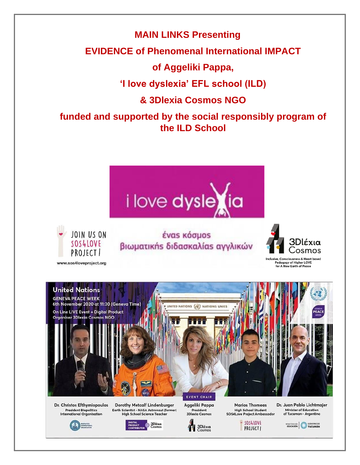**MAIN LINKS Presenting**

# **EVIDENCE of Phenomenal International IMPACT**

**of Aggeliki Pappa,**

**'I love dyslexia' EFL school (ILD)**

**& 3Dlexia Cosmos NGO**

**funded and supported by the social responsibly program of the ILD School**





www.sos4loveproject.org

έναs κόσμοs βιωματικής διδασκαλίας αγγλικών



ve, Consciousness & Heart based<br>Pedagogy of Higher LOVE<br>for A New Earth of Peace



Dr. Christos Efthymiopoulos **President Biopolitics<br>International Organisation** 

Dorothy Metcalf Lindenburger Earth Scientist - NASA Astronaut (former)<br>High School Science Teacher



Aggeliki Pappa President **3Dlexia Cosmos** 

**Marios Thomeas** High School Student<br>SOS4Love Project Ambassador

SOS4LOVE

**PROJECT |** 

Dr. Juan Pablo Lichtmajer **Minister of Education** of Tucuman - Argentina

**IDUCACIÓN ANY CORENO DE TUCUMÁN** 





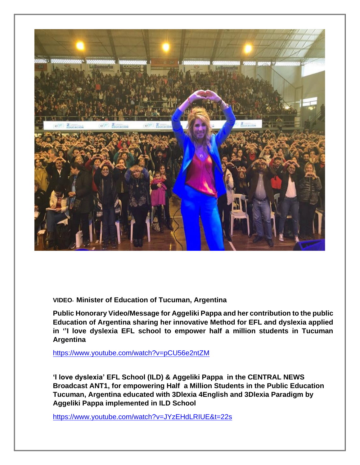

**VIDEO- Minister of Education of Tucuman, Argentina**

**Public Honorary Video/Message for Aggeliki Pappa and her contribution to the public Education of Argentina sharing her innovative Method for EFL and dyslexia applied in ''I love dyslexia EFL school to empower half a million students in Tucuman Argentina** 

<https://www.youtube.com/watch?v=pCU56e2ntZM>

**'I love dyslexia' EFL School (ILD) & Aggeliki Pappa in the CENTRAL NEWS Broadcast ANT1, for empowering Half a Million Students in the Public Education Tucuman, Argentina educated with 3Dlexia 4English and 3Dlexia Paradigm by Aggeliki Pappa implemented in ILD School** 

<https://www.youtube.com/watch?v=JYzEHdLRIUE&t=22s>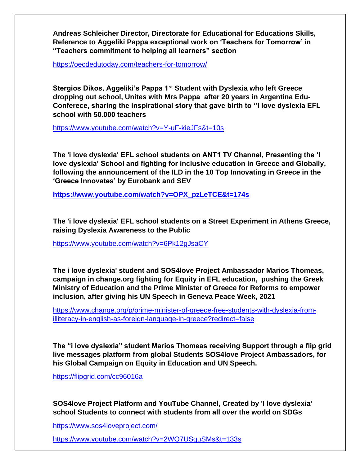**Andreas Schleicher Director, Directorate for Educational for Educations Skills, Reference to Aggeliki Pappa exceptional work on 'Teachers for Tomorrow' in "Teachers commitment to helping all learners" section**

https://oecdedutoday.com/teachers-for-tomorrow/

**Stergios Dikos, Aggeliki's Pappa 1st Student with Dyslexia who left Greece dropping out school, Unites with Mrs Pappa after 20 years in Argentina Edu-Conferece, sharing the inspirational story that gave birth to ''I love dyslexia EFL school with 50.000 teachers** 

<https://www.youtube.com/watch?v=Y-uF-kieJFs&t=10s>

**The 'i love dyslexia' EFL school students on ANT1 TV Channel, Presenting the 'I love dyslexia' School and fighting for inclusive education in Greece and Globally, following the announcement of the ILD in the 10 Top Innovating in Greece in the 'Greece Innovates' by Eurobank and SEV** 

**[https://www.youtube.com/watch?v=OPX\\_pzLeTCE&t=174s](https://www.youtube.com/watch?v=OPX_pzLeTCE&t=174s)**

**The 'i love dyslexia' EFL school students on a Street Experiment in Athens Greece, raising Dyslexia Awareness to the Public**

<https://www.youtube.com/watch?v=6Pk12gJsaCY>

**The i love dyslexia' student and SOS4love Project Ambassador Marios Thomeas, campaign in change.org fighting for Equity in EFL education, pushing the Greek Ministry of Education and the Prime Minister of Greece for Reforms to empower inclusion, after giving his UN Speech in Geneva Peace Week, 2021**

[https://www.change.org/p/prime-minister-of-greece-free-students-with-dyslexia-from](https://www.change.org/p/prime-minister-of-greece-free-students-with-dyslexia-from-illiteracy-in-english-as-foreign-language-in-greece?redirect=false)[illiteracy-in-english-as-foreign-language-in-greece?redirect=false](https://www.change.org/p/prime-minister-of-greece-free-students-with-dyslexia-from-illiteracy-in-english-as-foreign-language-in-greece?redirect=false)

**The "i love dyslexia" student Marios Thomeas receiving Support through a flip grid live messages platform from global Students SOS4love Project Ambassadors, for his Global Campaign on Equity in Education and UN Speech.**

<https://flipgrid.com/cc96016a>

**SOS4love Project Platform and YouTube Channel, Created by 'I love dyslexia' school Students to connect with students from all over the world on SDGs**

[https://www.sos4loveproject.com/](https://l.facebook.com/l.php?u=https%3A%2F%2Fwww.sos4loveproject.com%2F%3Ffbclid%3DIwAR0eR5pGf0w03rPi92x7uadvP56o4TDagI-rWhtwfDHNG3zmBqRuuQdn4CA&h=AT09TAYK6yV5R7_F1ezjUMu47EliHreSF8h7oxRaZhykSGc97pRr1inou2db7d_em23z-PYcs5RPdopl0hfdoHqg425TRKtd8s5s9EAl41JSJuaWhlYutHXaN_GReKcEWsY)

[https://www.youtube.com/watch?v=2WQ7USquSMs&t=133s](https://l.facebook.com/l.php?u=https%3A%2F%2Fwww.youtube.com%2Fwatch%3Fv%3D2WQ7USquSMs%26t%3D133s%26fbclid%3DIwAR3RInPOsXDfhRZ50dIBCo3QQxbJ1bPdQQtvAnpjqZLv3T-fzhylk-rA07g&h=AT09TAYK6yV5R7_F1ezjUMu47EliHreSF8h7oxRaZhykSGc97pRr1inou2db7d_em23z-PYcs5RPdopl0hfdoHqg425TRKtd8s5s9EAl41JSJuaWhlYutHXaN_GReKcEWsY)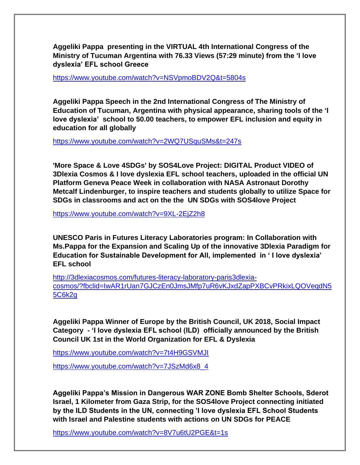**Aggeliki Pappa presenting in the VIRTUAL 4th International Congress of the Ministry of Tucuman Argentina with 76.33 Views (57:29 minute) from the 'I love dyslexia' EFL school Greece**

<https://www.youtube.com/watch?v=NSVpmoBDV2Q&t=5804s>

**Aggeliki Pappa Speech in the 2nd International Congress of The Ministry of Education of Tucuman, Argentina with physical appearance, sharing tools of the 'I love dyslexia' school to 50.00 teachers, to empower EFL inclusion and equity in education for all globally** 

<https://www.youtube.com/watch?v=2WQ7USquSMs&t=247s>

**'More Space & Love 4SDGs' by SOS4Love Project: DIGITAL Product VIDEO of 3Dlexia Cosmos & I love dyslexia EFL school teachers, uploaded in the official UN Platform Geneva Peace Week in collaboration with NASA Astronaut Dorothy Metcalf Lindenburger, to inspire teachers and students globally to utilize Space for SDGs in classrooms and act on the the UN SDGs with SOS4love Project** 

<https://www.youtube.com/watch?v=9XL-2EjZ2h8>

**UNESCO Paris in Futures Literacy Laboratories program: In Collaboration with Ms.Pappa for the Expansion and Scaling Up of the innovative 3Dlexia Paradigm for Education for Sustainable Development for All, implemented in ' I love dyslexia' EFL school** 

[http://3dlexiacosmos.com/futures-literacy-laboratory-paris3dlexia](http://3dlexiacosmos.com/futures-literacy-laboratory-paris3dlexia-cosmos/?fbclid=IwAR1rUan7GJCzEn0JmsJMfp7uR6vKJxdZapPXBCvPRkixLQOVeqdN55C6k2g)[cosmos/?fbclid=IwAR1rUan7GJCzEn0JmsJMfp7uR6vKJxdZapPXBCvPRkixLQOVeqdN5](http://3dlexiacosmos.com/futures-literacy-laboratory-paris3dlexia-cosmos/?fbclid=IwAR1rUan7GJCzEn0JmsJMfp7uR6vKJxdZapPXBCvPRkixLQOVeqdN55C6k2g) [5C6k2g](http://3dlexiacosmos.com/futures-literacy-laboratory-paris3dlexia-cosmos/?fbclid=IwAR1rUan7GJCzEn0JmsJMfp7uR6vKJxdZapPXBCvPRkixLQOVeqdN55C6k2g)

**Aggeliki Pappa Winner of Europe by the British Council, UK 2018, Social Impact Category - 'I love dyslexia EFL school (ILD) officially announced by the British Council UK 1st in the World Organization for EFL & Dyslexia** 

<https://www.youtube.com/watch?v=7t4H9GSVMJI>

[https://www.youtube.com/watch?v=7JSzMd6x8\\_4](https://www.youtube.com/watch?v=7JSzMd6x8_4)

**Aggeliki Pappa's Mission in Dangerous WAR ZONE Bomb Shelter Schools, Sderot Israel, 1 Kilometer from Gaza Strip, for the SOS4love Project connecting initiated by the ILD Students in the UN, connecting 'I love dyslexia EFL School Students with Israel and Palestine students with actions on UN SDGs for PEACE**

https://www.youtube.com/watch?v=8V7u6tU2PGE&t=1s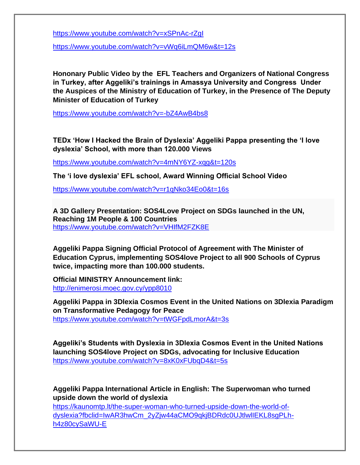<https://www.youtube.com/watch?v=xSPnAc-rZgI>

<https://www.youtube.com/watch?v=vWq6iLmQM6w&t=12s>

**Hononary Public Video by the EFL Teachers and Organizers of National Congress in Turkey, after Aggeliki's trainings in Amassya University and Congress Under the Auspices of the Ministry of Education of Turkey, in the Presence of The Deputy Minister of Education of Turkey**

<https://www.youtube.com/watch?v=-bZ4AwB4bs8>

**TEDx 'How I Hacked the Brain of Dyslexia' Aggeliki Pappa presenting the 'I love dyslexia' School, with more than 120.000 Views**

<https://www.youtube.com/watch?v=4mNY6YZ-xqg&t=120s>

**The 'i love dyslexia' EFL school, Award Winning Official School Video** 

<https://www.youtube.com/watch?v=r1qNko34Eo0&t=16s>

**A 3D Gallery Presentation: SOS4Love Project on SDGs launched in the UN, Reaching 1M People & 100 Countries** <https://www.youtube.com/watch?v=VHIfM2FZK8E>

**Aggeliki Pappa Signing Official Protocol of Agreement with The Minister of Education Cyprus, implementing SOS4love Project to all 900 Schools of Cyprus twice, impacting more than 100.000 students.** 

**Official MINISTRY Announcement link:** <http://enimerosi.moec.gov.cy/ypp8010>

**Aggeliki Pappa in 3Dlexia Cosmos Event in the United Nations on 3Dlexia Paradigm on Transformative Pedagogy for Peace** <https://www.youtube.com/watch?v=tWGFpdLmorA&t=3s>

**Aggeliki's Students with Dyslexia in 3Dlexia Cosmos Event in the United Nations launching SOS4love Project on SDGs, advocating for Inclusive Education**  https://www.youtube.com/watch?v=8xK0xFUbqD4&t=5s

**Aggeliki Pappa International Article in English: The Superwoman who turned upside down the world of dyslexia**

[https://kaunomtp.lt/the-super-woman-who-turned-upside-down-the-world-of](https://kaunomtp.lt/the-super-woman-who-turned-upside-down-the-world-of-dyslexia?fbclid=IwAR3hwCm_2yZjw44aCMO9qkjBDRdc0UJtlwlIEKL8sgPLh-h4z80cySaWU-E)[dyslexia?fbclid=IwAR3hwCm\\_2yZjw44aCMO9qkjBDRdc0UJtlwlIEKL8sgPLh](https://kaunomtp.lt/the-super-woman-who-turned-upside-down-the-world-of-dyslexia?fbclid=IwAR3hwCm_2yZjw44aCMO9qkjBDRdc0UJtlwlIEKL8sgPLh-h4z80cySaWU-E)[h4z80cySaWU-E](https://kaunomtp.lt/the-super-woman-who-turned-upside-down-the-world-of-dyslexia?fbclid=IwAR3hwCm_2yZjw44aCMO9qkjBDRdc0UJtlwlIEKL8sgPLh-h4z80cySaWU-E)